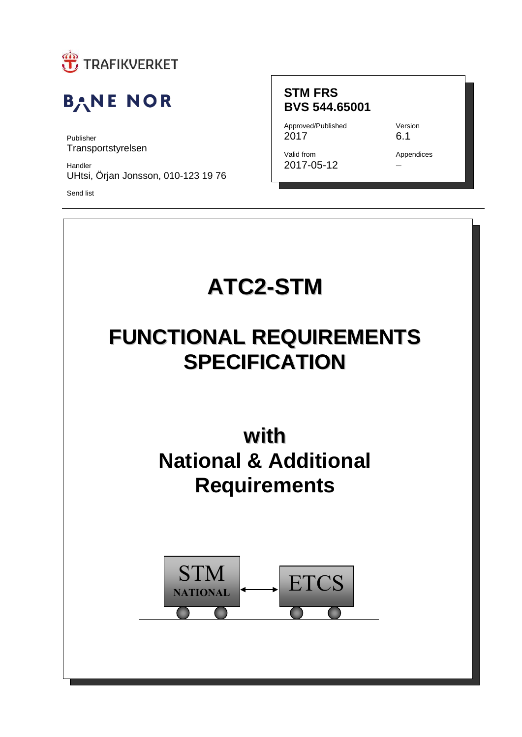

# **BANE NOR**

Publisher **Transportstyrelsen** 

Handler UHtsi, Örjan Jonsson, 010-123 19 76

Send list

### **STM FRS BVS 544.65001**

Approved/Published Version 2017 6.1

Valid from Appendices 2017-05-12

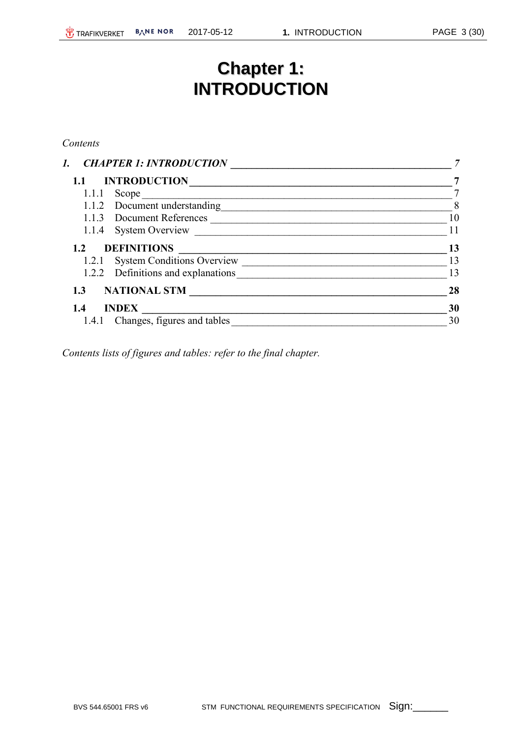# **Chapter 1: INTRODUCTION**

#### *Contents*

| $\overline{7}$ |
|----------------|
|                |
| 8              |
| 10             |
| 11             |
| 13             |
| 13             |
| 13             |
| 28             |
| 30             |
| 30             |
|                |

*Contents lists of figures and tables: refer to the final chapter.*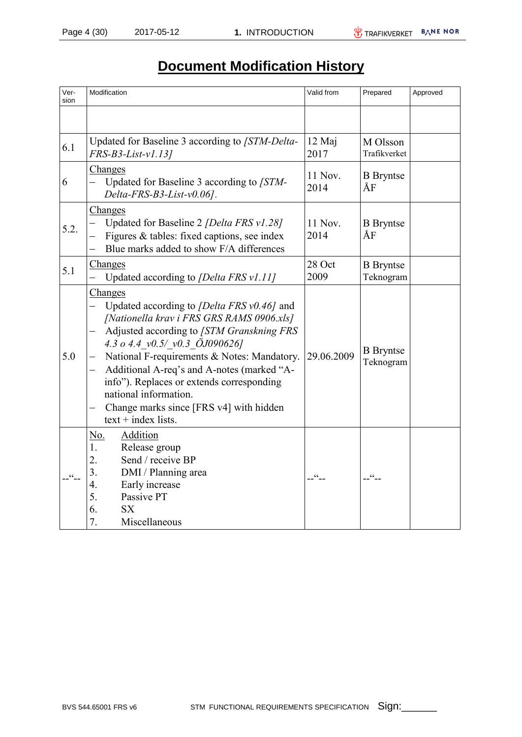# **Document Modification History**

| Ver-<br>sion | Modification                                                                                                                                                                                                                                                                                                                                                                                                                          | Valid from      | Prepared                      | Approved |
|--------------|---------------------------------------------------------------------------------------------------------------------------------------------------------------------------------------------------------------------------------------------------------------------------------------------------------------------------------------------------------------------------------------------------------------------------------------|-----------------|-------------------------------|----------|
|              |                                                                                                                                                                                                                                                                                                                                                                                                                                       |                 |                               |          |
| 6.1          | Updated for Baseline 3 according to [STM-Delta-<br>FRS-B3-List-v1.13]                                                                                                                                                                                                                                                                                                                                                                 | 12 Maj<br>2017  | M Olsson<br>Trafikverket      |          |
| 6            | Changes<br>Updated for Baseline 3 according to [STM-<br>Delta-FRS-B3-List-v0.06].                                                                                                                                                                                                                                                                                                                                                     | 11 Nov.<br>2014 | <b>B</b> Bryntse<br>ÅF        |          |
| 5.2.         | Changes<br>Updated for Baseline 2 <i>[Delta FRS v1.28]</i><br>$\overline{\phantom{0}}$<br>Figures & tables: fixed captions, see index<br>Blue marks added to show F/A differences                                                                                                                                                                                                                                                     | 11 Nov.<br>2014 | <b>B</b> Bryntse<br>ÅF        |          |
| 5.1          | Changes<br>Updated according to <i>[Delta FRS v1.11]</i>                                                                                                                                                                                                                                                                                                                                                                              | 28 Oct<br>2009  | <b>B</b> Bryntse<br>Teknogram |          |
| 5.0          | Changes<br>Updated according to <i>[Delta FRS v0.46]</i> and<br>[Nationella krav i FRS GRS RAMS 0906.xls]<br>Adjusted according to [STM Granskning FRS<br>4.3 o 4.4 $v0.5/v0.3$ OJ090626]<br>National F-requirements & Notes: Mandatory.<br>Additional A-req's and A-notes (marked "A-<br>-<br>info"). Replaces or extends corresponding<br>national information.<br>Change marks since [FRS v4] with hidden<br>$text + index lists.$ | 29.06.2009      | <b>B</b> Bryntse<br>Teknogram |          |
|              | Addition<br>No.<br>Release group<br>1.<br>Send / receive BP<br>2.<br>3.<br>DMI / Planning area<br>4.<br>Early increase<br>5.<br>Passive PT<br><b>SX</b><br>6.<br>7.<br>Miscellaneous                                                                                                                                                                                                                                                  | $cc -$          | $\zeta\,\zeta$                |          |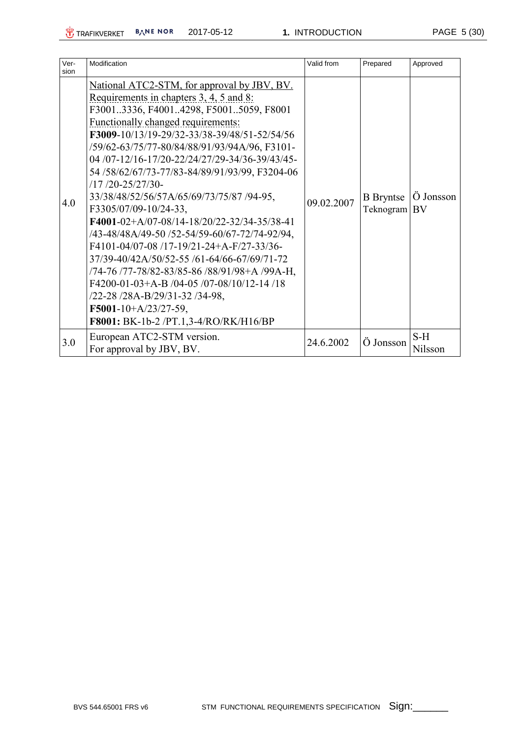| Ver-<br>sion | Modification                                                                                                                                                                                                                                                                                                                                                                                                                                                                                                                                                                                                                                                                                                                                                                                                                                                                  | Valid from | Prepared                      | Approved         |
|--------------|-------------------------------------------------------------------------------------------------------------------------------------------------------------------------------------------------------------------------------------------------------------------------------------------------------------------------------------------------------------------------------------------------------------------------------------------------------------------------------------------------------------------------------------------------------------------------------------------------------------------------------------------------------------------------------------------------------------------------------------------------------------------------------------------------------------------------------------------------------------------------------|------------|-------------------------------|------------------|
| 4.0          | National ATC2-STM, for approval by JBV, BV.<br>Requirements in chapters 3, 4, 5 and 8:<br>F30013336, F40014298, F50015059, F8001<br><b>Functionally changed requirements:</b><br>F3009-10/13/19-29/32-33/38-39/48/51-52/54/56<br>/59/62-63/75/77-80/84/88/91/93/94A/96, F3101-<br>04/07-12/16-17/20-22/24/27/29-34/36-39/43/45-<br>54/58/62/67/73-77/83-84/89/91/93/99, F3204-06<br>$/17/20 - 25/27/30 -$<br>33/38/48/52/56/57A/65/69/73/75/87 /94-95,<br>F3305/07/09-10/24-33,<br>F4001-02+A/07-08/14-18/20/22-32/34-35/38-41<br>/43-48/48A/49-50 /52-54/59-60/67-72/74-92/94,<br>F4101-04/07-08 /17-19/21-24+A-F/27-33/36-<br>37/39-40/42A/50/52-55 /61-64/66-67/69/71-72<br>/74-76 /77-78/82-83/85-86 /88/91/98+A /99A-H,<br>F4200-01-03+A-B /04-05 /07-08/10/12-14 /18<br>/22-28 /28A-B/29/31-32 /34-98,<br>F5001-10+A/23/27-59,<br>F8001: BK-1b-2 /PT.1,3-4/RO/RK/H16/BP | 09.02.2007 | <b>B</b> Bryntse<br>Teknogram | Ö Jonsson<br>BV  |
| 3.0          | European ATC2-STM version.<br>For approval by JBV, BV.                                                                                                                                                                                                                                                                                                                                                                                                                                                                                                                                                                                                                                                                                                                                                                                                                        | 24.6.2002  | Ö Jonsson                     | $S-H$<br>Nilsson |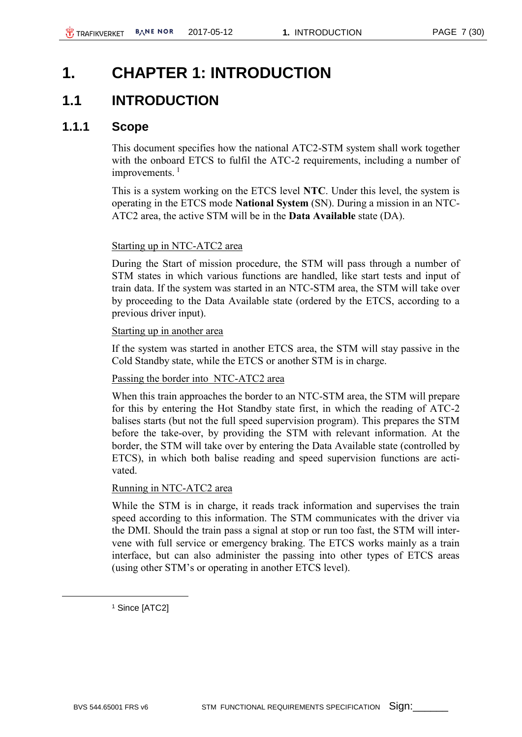# <span id="page-6-0"></span>**1. CHAPTER 1: INTRODUCTION**

# <span id="page-6-1"></span>**1.1 INTRODUCTION**

#### <span id="page-6-2"></span>**1.1.1 Scope**

This document specifies how the national ATC2-STM system shall work together with the onboard ETCS to fulfil the ATC-2 requirements, including a number of improvements.<sup>1</sup>

This is a system working on the ETCS level **NTC**. Under this level, the system is operating in the ETCS mode **National System** (SN). During a mission in an NTC-ATC2 area, the active STM will be in the **Data Available** state (DA).

#### Starting up in NTC-ATC2 area

During the Start of mission procedure, the STM will pass through a number of STM states in which various functions are handled, like start tests and input of train data. If the system was started in an NTC-STM area, the STM will take over by proceeding to the Data Available state (ordered by the ETCS, according to a previous driver input).

#### Starting up in another area

If the system was started in another ETCS area, the STM will stay passive in the Cold Standby state, while the ETCS or another STM is in charge.

#### Passing the border into NTC-ATC2 area

When this train approaches the border to an NTC-STM area, the STM will prepare for this by entering the Hot Standby state first, in which the reading of ATC-2 balises starts (but not the full speed supervision program). This prepares the STM before the take-over, by providing the STM with relevant information. At the border, the STM will take over by entering the Data Available state (controlled by ETCS), in which both balise reading and speed supervision functions are activated.

#### Running in NTC-ATC2 area

While the STM is in charge, it reads track information and supervises the train speed according to this information. The STM communicates with the driver via the DMI. Should the train pass a signal at stop or run too fast, the STM will intervene with full service or emergency braking. The ETCS works mainly as a train interface, but can also administer the passing into other types of ETCS areas (using other STM's or operating in another ETCS level).

<sup>1</sup> Since [ATC2]

 $\overline{a}$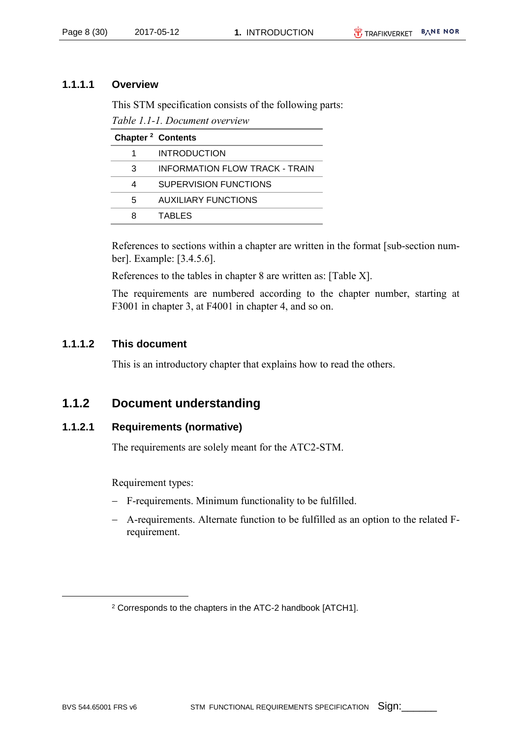#### **1.1.1.1 Overview**

This STM specification consists of the following parts:

*Table 1.1-1. Document overview*

| Chapter <sup>2</sup> Contents |                                |
|-------------------------------|--------------------------------|
|                               | <b>INTRODUCTION</b>            |
| 3                             | INFORMATION FLOW TRACK - TRAIN |
| 4                             | SUPERVISION FUNCTIONS          |
| 5                             | AUXILIARY FUNCTIONS            |
| я                             | <b>TABLES</b>                  |

References to sections within a chapter are written in the format [sub-section number]. Example: [3.4.5.6].

References to the tables in chapter 8 are written as: [Table X].

The requirements are numbered according to the chapter number, starting at F3001 in chapter 3, at F4001 in chapter 4, and so on.

#### **1.1.1.2 This document**

This is an introductory chapter that explains how to read the others.

### <span id="page-7-0"></span>**1.1.2 Document understanding**

#### **1.1.2.1 Requirements (normative)**

The requirements are solely meant for the ATC2-STM.

Requirement types:

- F-requirements. Minimum functionality to be fulfilled.
- A-requirements. Alternate function to be fulfilled as an option to the related Frequirement.

 $\overline{a}$ 

<sup>2</sup> Corresponds to the chapters in the ATC-2 handbook [ATCH1].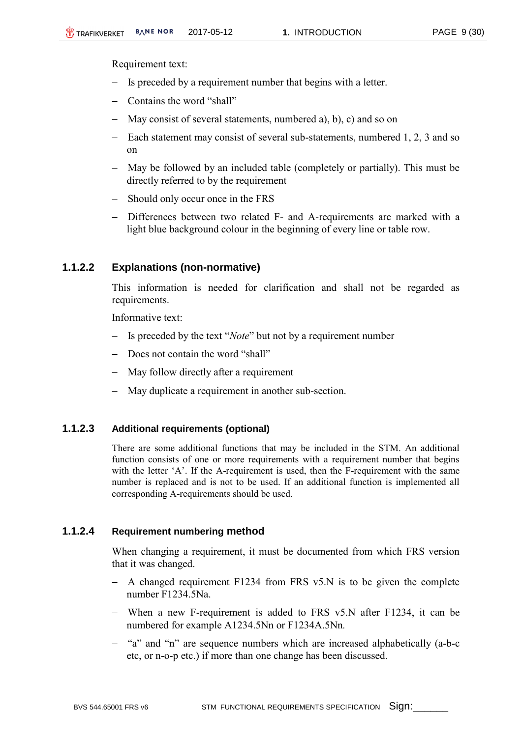Requirement text:

- Is preceded by a requirement number that begins with a letter.
- Contains the word "shall"
- May consist of several statements, numbered a), b), c) and so on
- Each statement may consist of several sub-statements, numbered 1, 2, 3 and so on
- May be followed by an included table (completely or partially). This must be directly referred to by the requirement
- Should only occur once in the FRS
- Differences between two related F- and A-requirements are marked with a light blue background colour in the beginning of every line or table row.

#### **1.1.2.2 Explanations (non-normative)**

This information is needed for clarification and shall not be regarded as requirements.

Informative text:

- Is preceded by the text "*Note*" but not by a requirement number
- Does not contain the word "shall"
- May follow directly after a requirement
- May duplicate a requirement in another sub-section.

#### **1.1.2.3 Additional requirements (optional)**

There are some additional functions that may be included in the STM. An additional function consists of one or more requirements with a requirement number that begins with the letter 'A'. If the A-requirement is used, then the F-requirement with the same number is replaced and is not to be used. If an additional function is implemented all corresponding A-requirements should be used.

#### **1.1.2.4 Requirement numbering method**

When changing a requirement, it must be documented from which FRS version that it was changed.

- $-$  A changed requirement F1234 from FRS v5.N is to be given the complete number F1234.5Na.
- When a new F-requirement is added to FRS v5.N after F1234, it can be numbered for example A1234.5Nn or F1234A.5Nn*.*
- "a" and "n" are sequence numbers which are increased alphabetically (a-b-c etc, or n-o-p etc.) if more than one change has been discussed.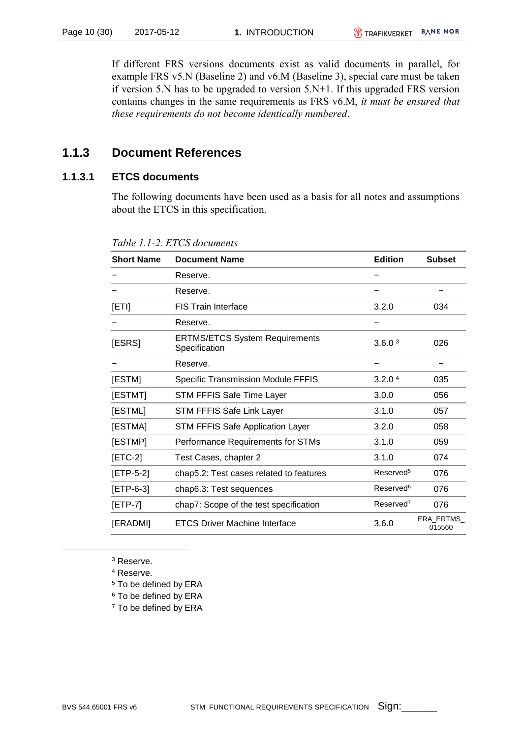If different FRS versions documents exist as valid documents in parallel, for example FRS v5.N (Baseline 2) and v6.M (Baseline 3), special care must be taken if version 5.N has to be upgraded to version 5.N+1. If this upgraded FRS version contains changes in the same requirements as FRS v6.M, *it must be ensured that these requirements do not become identically numbered*.

### <span id="page-9-0"></span>**1.1.3 Document References**

#### **1.1.3.1 ETCS documents**

The following documents have been used as a basis for all notes and assumptions about the ETCS in this specification.

| <b>Short Name</b>                                      | <b>Document Name</b>                                   | <b>Edition</b>        | <b>Subset</b>       |
|--------------------------------------------------------|--------------------------------------------------------|-----------------------|---------------------|
|                                                        | Reserve.                                               |                       |                     |
|                                                        | Reserve.                                               |                       |                     |
| [ETI]                                                  | <b>FIS Train Interface</b>                             | 3.2.0                 | 034                 |
|                                                        | Reserve.                                               |                       |                     |
| [ESRS]                                                 | <b>ERTMS/ETCS System Requirements</b><br>Specification | 3.6.0 <sup>3</sup>    | 026                 |
|                                                        | Reserve.                                               |                       |                     |
| [ESTM]                                                 | <b>Specific Transmission Module FFFIS</b>              | 3.2.0 <sup>4</sup>    | 035                 |
| [ESTMT]                                                | STM FFFIS Safe Time Layer                              | 3.0.0                 | 056                 |
| [ESTML]<br>STM FFFIS Safe Link Layer                   |                                                        | 3.1.0                 | 057                 |
| [ESTMA]<br><b>STM FFFIS Safe Application Layer</b>     |                                                        | 3.2.0                 | 058                 |
| [ESTMP]<br>Performance Requirements for STMs           |                                                        | 3.1.0                 | 059                 |
| $[ETC-2]$<br>Test Cases, chapter 2                     |                                                        | 3.1.0                 | 074                 |
| $[ETP-5-2]$<br>chap5.2: Test cases related to features |                                                        | Reserved <sup>5</sup> | 076                 |
| $[ETP-6-3]$                                            | chap6.3: Test sequences                                | Reserved <sup>6</sup> | 076                 |
| $[ETP-7]$                                              | chap7: Scope of the test specification                 | Reserved <sup>7</sup> | 076                 |
| [ERADMI]                                               | <b>ETCS Driver Machine Interface</b>                   | 3.6.0                 | ERA ERTMS<br>015560 |

*Table 1.1-2. ETCS documents* 

<sup>3</sup> Reserve. <sup>4</sup> Reserve.

- <sup>5</sup> To be defined by ERA
- <sup>6</sup> To be defined by ERA
- <sup>7</sup> To be defined by ERA

 $\overline{a}$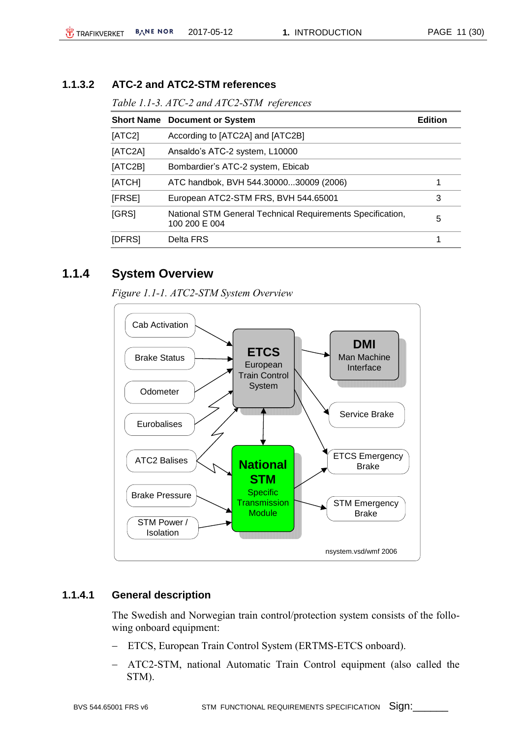#### **1.1.3.2 ATC-2 and ATC2-STM references**

*Table 1.1-3. ATC-2 and ATC2-STM references*

|         | <b>Short Name Document or System</b>                                        | <b>Edition</b> |
|---------|-----------------------------------------------------------------------------|----------------|
| [ATC2]  | According to [ATC2A] and [ATC2B]                                            |                |
| [ATC2A] | Ansaldo's ATC-2 system, L10000                                              |                |
| [ATC2B] | Bombardier's ATC-2 system, Ebicab                                           |                |
| [ATCH]  | ATC handbok, BVH 544.3000030009 (2006)                                      | 1              |
| [FRSE]  | European ATC2-STM FRS, BVH 544.65001                                        | 3              |
| [GRS]   | National STM General Technical Requirements Specification,<br>100 200 E 004 | 5              |
| [DFRS]  | Delta FRS                                                                   | 1              |

### <span id="page-10-0"></span>**1.1.4 System Overview**

*Figure 1.1-1. ATC2-STM System Overview*



#### **1.1.4.1 General description**

The Swedish and Norwegian train control/protection system consists of the following onboard equipment:

- ETCS, European Train Control System (ERTMS-ETCS onboard).
- ATC2-STM, national Automatic Train Control equipment (also called the STM).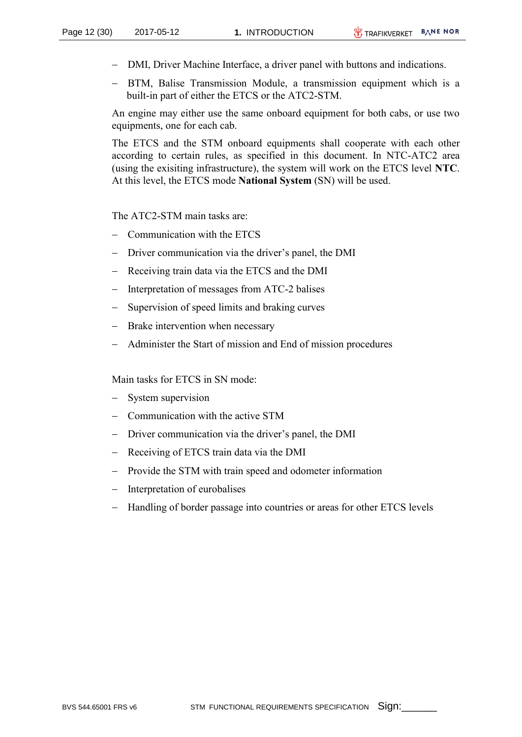- DMI, Driver Machine Interface, a driver panel with buttons and indications.
- BTM, Balise Transmission Module, a transmission equipment which is a built-in part of either the ETCS or the ATC2-STM.

An engine may either use the same onboard equipment for both cabs, or use two equipments, one for each cab.

The ETCS and the STM onboard equipments shall cooperate with each other according to certain rules, as specified in this document. In NTC-ATC2 area (using the exisiting infrastructure), the system will work on the ETCS level **NTC**. At this level, the ETCS mode **National System** (SN) will be used.

The ATC2-STM main tasks are:

- Communication with the ETCS
- Driver communication via the driver's panel, the DMI
- Receiving train data via the ETCS and the DMI
- Interpretation of messages from ATC-2 balises
- Supervision of speed limits and braking curves
- Brake intervention when necessary
- Administer the Start of mission and End of mission procedures

Main tasks for ETCS in SN mode:

- System supervision
- Communication with the active STM
- Driver communication via the driver's panel, the DMI
- Receiving of ETCS train data via the DMI
- Provide the STM with train speed and odometer information
- Interpretation of eurobalises
- Handling of border passage into countries or areas for other ETCS levels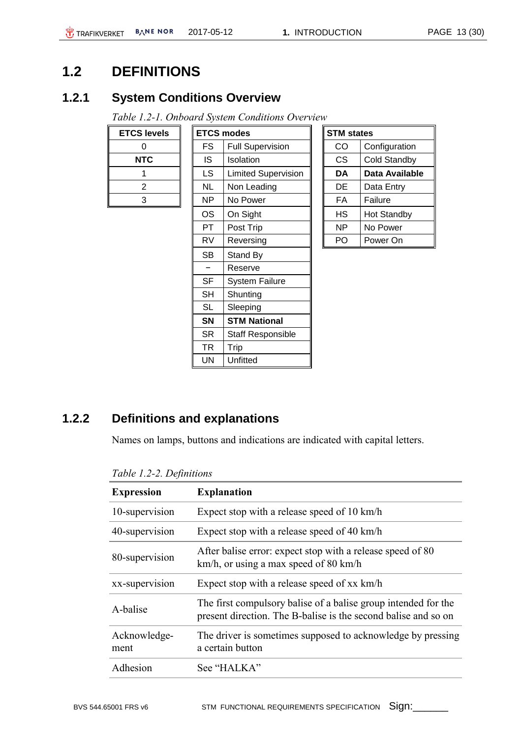# <span id="page-12-0"></span>**1.2 DEFINITIONS**

### <span id="page-12-1"></span>**1.2.1 System Conditions Overview**

*Table 1.2-1. Onboard System Conditions Overview*

| <b>ETCS levels</b> |
|--------------------|
| 0                  |
| <b>NTC</b>         |
|                    |
| 2                  |
| 3                  |

| <b>S</b> levels: |           | <b>ETCS modes</b>          | <b>STM states</b> |                     |
|------------------|-----------|----------------------------|-------------------|---------------------|
| 0                | FS        | <b>Full Supervision</b>    | CO                | Configuration       |
| <b>NTC</b>       | IS.       | Isolation                  | CS.               | <b>Cold Standby</b> |
| 1                | LS.       | <b>Limited Supervision</b> | DA                | Data Available      |
| $\overline{2}$   | NL        | Non Leading                | DE                | Data Entry          |
| 3                | NP.       | No Power                   | FA                | Failure             |
|                  | OS        | On Sight                   | НS                | <b>Hot Standby</b>  |
|                  | PT.       | Post Trip                  | NP.               | No Power            |
|                  | RV        | Reversing                  | PO.               | Power On            |
|                  | SВ        | Stand By                   |                   |                     |
|                  |           | Reserve                    |                   |                     |
|                  | <b>SF</b> | <b>System Failure</b>      |                   |                     |
|                  | SН        | Shunting                   |                   |                     |
|                  | <b>SL</b> | Sleeping                   |                   |                     |
|                  | <b>SN</b> | <b>STM National</b>        |                   |                     |
|                  | SR        | <b>Staff Responsible</b>   |                   |                     |
|                  | TR        | Trip                       |                   |                     |
|                  | UN        | Unfitted                   |                   |                     |
|                  |           |                            |                   |                     |

| <b>STM</b> states |                     |  |
|-------------------|---------------------|--|
| CO                | Configuration       |  |
| CS                | <b>Cold Standby</b> |  |
| DA                | Data Available      |  |
| DE                | Data Entry          |  |
| FA                | Failure             |  |
| НS                | <b>Hot Standby</b>  |  |
| ΝP                | No Power            |  |
| P                 | Power On            |  |

# <span id="page-12-2"></span>**1.2.2 Definitions and explanations**

Names on lamps, buttons and indications are indicated with capital letters.

| <b>Expression</b>    | <b>Explanation</b>                                                                                                               |
|----------------------|----------------------------------------------------------------------------------------------------------------------------------|
| 10-supervision       | Expect stop with a release speed of 10 km/h                                                                                      |
| 40-supervision       | Expect stop with a release speed of 40 km/h                                                                                      |
| 80-supervision       | After balise error: expect stop with a release speed of 80<br>km/h, or using a max speed of 80 km/h                              |
| xx-supervision       | Expect stop with a release speed of xx km/h                                                                                      |
| A-balise             | The first compulsory balise of a balise group intended for the<br>present direction. The B-balise is the second balise and so on |
| Acknowledge-<br>ment | The driver is sometimes supposed to acknowledge by pressing<br>a certain button                                                  |
| Adhesion             | See "HALKA"                                                                                                                      |
|                      |                                                                                                                                  |

*Table 1.2-2. Definitions*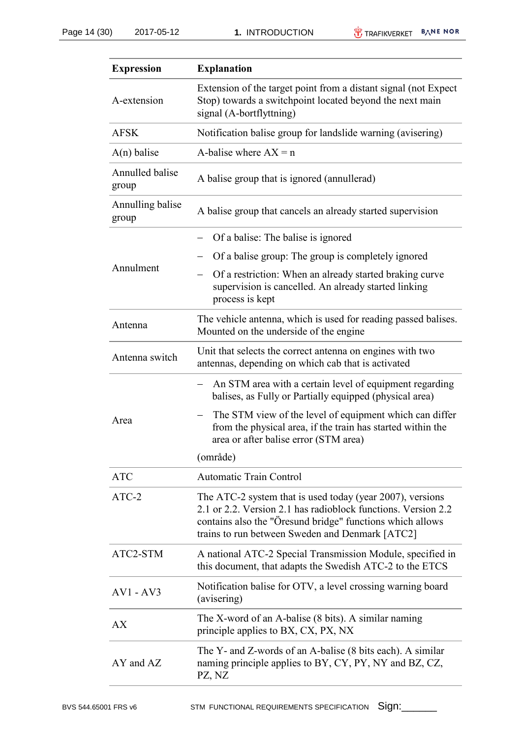| <b>Expression</b>         | <b>Explanation</b>                                                                                                                                                                                                                         |
|---------------------------|--------------------------------------------------------------------------------------------------------------------------------------------------------------------------------------------------------------------------------------------|
| A-extension               | Extension of the target point from a distant signal (not Expect<br>Stop) towards a switchpoint located beyond the next main<br>signal (A-bortflyttning)                                                                                    |
| <b>AFSK</b>               | Notification balise group for landslide warning (avisering)                                                                                                                                                                                |
| $A(n)$ balise             | A-balise where $AX = n$                                                                                                                                                                                                                    |
| Annulled balise<br>group  | A balise group that is ignored (annullerad)                                                                                                                                                                                                |
| Annulling balise<br>group | A balise group that cancels an already started supervision                                                                                                                                                                                 |
|                           | Of a balise: The balise is ignored                                                                                                                                                                                                         |
|                           | Of a balise group: The group is completely ignored                                                                                                                                                                                         |
| Annulment                 | Of a restriction: When an already started braking curve<br>supervision is cancelled. An already started linking<br>process is kept                                                                                                         |
| Antenna                   | The vehicle antenna, which is used for reading passed balises.<br>Mounted on the underside of the engine                                                                                                                                   |
| Antenna switch            | Unit that selects the correct antenna on engines with two<br>antennas, depending on which cab that is activated                                                                                                                            |
|                           | An STM area with a certain level of equipment regarding<br>balises, as Fully or Partially equipped (physical area)                                                                                                                         |
| Area                      | The STM view of the level of equipment which can differ<br>from the physical area, if the train has started within the<br>area or after balise error (STM area)                                                                            |
|                           | (område)                                                                                                                                                                                                                                   |
| <b>ATC</b>                | <b>Automatic Train Control</b>                                                                                                                                                                                                             |
| $ATC-2$                   | The ATC-2 system that is used today (year 2007), versions<br>2.1 or 2.2. Version 2.1 has radioblock functions. Version 2.2<br>contains also the "Oresund bridge" functions which allows<br>trains to run between Sweden and Denmark [ATC2] |
| ATC2-STM                  | A national ATC-2 Special Transmission Module, specified in<br>this document, that adapts the Swedish ATC-2 to the ETCS                                                                                                                     |
| $AV1 - AV3$               | Notification balise for OTV, a level crossing warning board<br>(avisering)                                                                                                                                                                 |
| AX                        | The X-word of an A-balise (8 bits). A similar naming<br>principle applies to BX, CX, PX, NX                                                                                                                                                |
| AY and AZ                 | The Y- and Z-words of an A-balise (8 bits each). A similar<br>naming principle applies to BY, CY, PY, NY and BZ, CZ,<br>PZ, NZ                                                                                                             |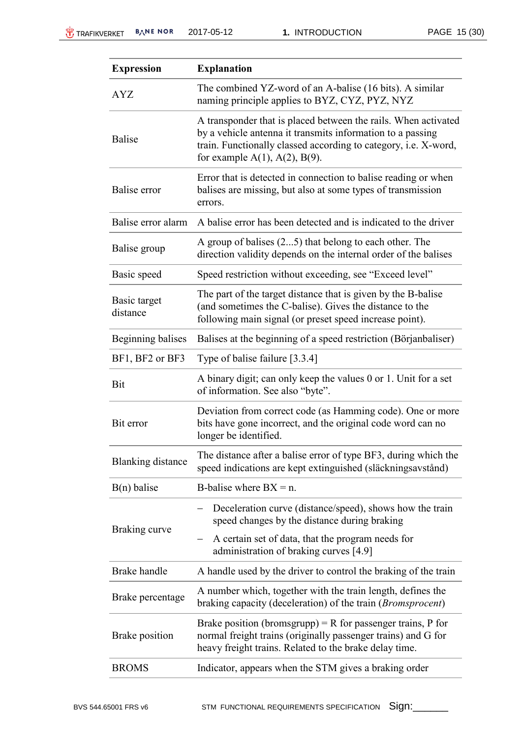| <b>Expression</b>        | <b>Explanation</b>                                                                                                                                                                                                                        |
|--------------------------|-------------------------------------------------------------------------------------------------------------------------------------------------------------------------------------------------------------------------------------------|
| <b>AYZ</b>               | The combined YZ-word of an A-balise (16 bits). A similar<br>naming principle applies to BYZ, CYZ, PYZ, NYZ                                                                                                                                |
| <b>Balise</b>            | A transponder that is placed between the rails. When activated<br>by a vehicle antenna it transmits information to a passing<br>train. Functionally classed according to category, i.e. X-word,<br>for example $A(1)$ , $A(2)$ , $B(9)$ . |
| Balise error             | Error that is detected in connection to balise reading or when<br>balises are missing, but also at some types of transmission<br>errors.                                                                                                  |
| Balise error alarm       | A balise error has been detected and is indicated to the driver                                                                                                                                                                           |
| Balise group             | A group of balises $(25)$ that belong to each other. The<br>direction validity depends on the internal order of the balises                                                                                                               |
| Basic speed              | Speed restriction without exceeding, see "Exceed level"                                                                                                                                                                                   |
| Basic target<br>distance | The part of the target distance that is given by the B-balise<br>(and sometimes the C-balise). Gives the distance to the<br>following main signal (or preset speed increase point).                                                       |
| Beginning balises        | Balises at the beginning of a speed restriction (Börjanbaliser)                                                                                                                                                                           |
| BF1, BF2 or BF3          | Type of balise failure [3.3.4]                                                                                                                                                                                                            |
| Bit                      | A binary digit; can only keep the values 0 or 1. Unit for a set<br>of information. See also "byte".                                                                                                                                       |
| Bit error                | Deviation from correct code (as Hamming code). One or more<br>bits have gone incorrect, and the original code word can no<br>longer be identified.                                                                                        |
| <b>Blanking distance</b> | The distance after a balise error of type BF3, during which the<br>speed indications are kept extinguished (släckningsavstånd)                                                                                                            |
| $B(n)$ balise            | B-balise where $BX = n$ .                                                                                                                                                                                                                 |
|                          | Deceleration curve (distance/speed), shows how the train<br>speed changes by the distance during braking                                                                                                                                  |
| Braking curve            | A certain set of data, that the program needs for<br>administration of braking curves [4.9]                                                                                                                                               |
| Brake handle             | A handle used by the driver to control the braking of the train                                                                                                                                                                           |
| Brake percentage         | A number which, together with the train length, defines the<br>braking capacity (deceleration) of the train ( <i>Bromsprocent</i> )                                                                                                       |
| Brake position           | Brake position (bromsgrupp) = R for passenger trains, P for<br>normal freight trains (originally passenger trains) and G for<br>heavy freight trains. Related to the brake delay time.                                                    |
| <b>BROMS</b>             | Indicator, appears when the STM gives a braking order                                                                                                                                                                                     |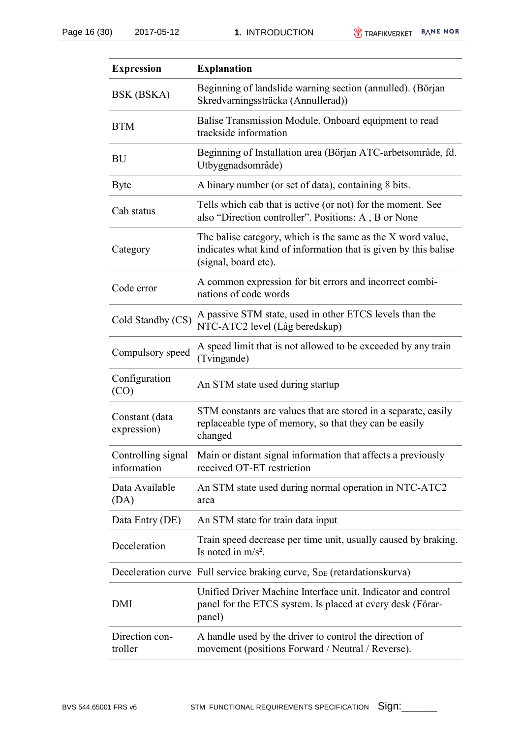| <b>Expression</b>                 | <b>Explanation</b>                                                                                                                                     |
|-----------------------------------|--------------------------------------------------------------------------------------------------------------------------------------------------------|
| BSK (BSKA)                        | Beginning of landslide warning section (annulled). (Början<br>Skredvarningssträcka (Annullerad))                                                       |
| <b>BTM</b>                        | Balise Transmission Module. Onboard equipment to read<br>trackside information                                                                         |
| <b>BU</b>                         | Beginning of Installation area (Början ATC-arbetsområde, fd.<br>Utbyggnadsområde)                                                                      |
| <b>Byte</b>                       | A binary number (or set of data), containing 8 bits.                                                                                                   |
| Cab status                        | Tells which cab that is active (or not) for the moment. See<br>also "Direction controller". Positions: A, B or None                                    |
| Category                          | The balise category, which is the same as the X word value,<br>indicates what kind of information that is given by this balise<br>(signal, board etc). |
| Code error                        | A common expression for bit errors and incorrect combi-<br>nations of code words                                                                       |
| Cold Standby (CS)                 | A passive STM state, used in other ETCS levels than the<br>NTC-ATC2 level (Låg beredskap)                                                              |
| Compulsory speed                  | A speed limit that is not allowed to be exceeded by any train<br>(Tvingande)                                                                           |
| Configuration<br>(CO)             | An STM state used during startup                                                                                                                       |
| Constant (data<br>expression)     | STM constants are values that are stored in a separate, easily<br>replaceable type of memory, so that they can be easily<br>changed                    |
| Controlling signal<br>information | Main or distant signal information that affects a previously<br>received OT-ET restriction                                                             |
| Data Available<br>(DA)            | An STM state used during normal operation in NTC-ATC2<br>area                                                                                          |
| Data Entry (DE)                   | An STM state for train data input                                                                                                                      |
| Deceleration                      | Train speed decrease per time unit, usually caused by braking.<br>Is noted in $m/s^2$ .                                                                |
|                                   | Deceleration curve Full service braking curve, S <sub>DE</sub> (retardationskurva)                                                                     |
| DMI                               | Unified Driver Machine Interface unit. Indicator and control<br>panel for the ETCS system. Is placed at every desk (Förar-<br>panel)                   |
| Direction con-<br>troller         | A handle used by the driver to control the direction of<br>movement (positions Forward / Neutral / Reverse).                                           |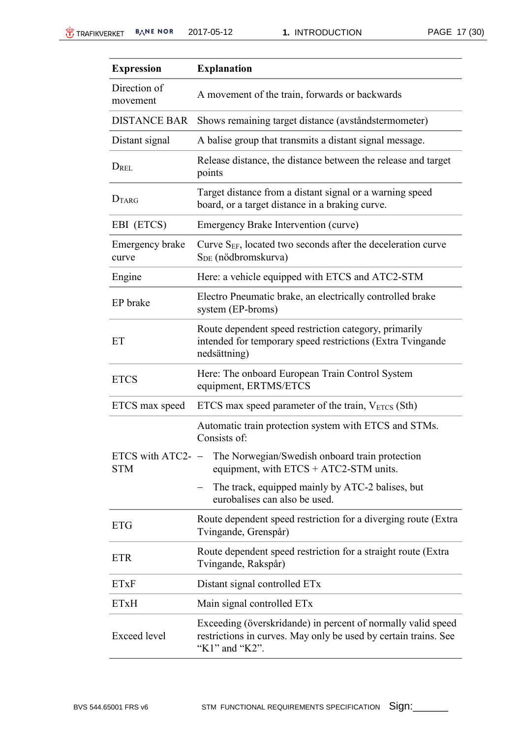| <b>Expression</b>                 | <b>Explanation</b>                                                                                                                                |
|-----------------------------------|---------------------------------------------------------------------------------------------------------------------------------------------------|
| Direction of<br>movement          | A movement of the train, forwards or backwards                                                                                                    |
| <b>DISTANCE BAR</b>               | Shows remaining target distance (avståndstermometer)                                                                                              |
| Distant signal                    | A balise group that transmits a distant signal message.                                                                                           |
| DREL                              | Release distance, the distance between the release and target<br>points                                                                           |
| DTARG                             | Target distance from a distant signal or a warning speed<br>board, or a target distance in a braking curve.                                       |
| EBI (ETCS)                        | Emergency Brake Intervention (curve)                                                                                                              |
| Emergency brake<br>curve          | Curve S <sub>EF</sub> , located two seconds after the deceleration curve<br>S <sub>DE</sub> (nödbromskurva)                                       |
| Engine                            | Here: a vehicle equipped with ETCS and ATC2-STM                                                                                                   |
| EP brake                          | Electro Pneumatic brake, an electrically controlled brake<br>system (EP-broms)                                                                    |
| ET                                | Route dependent speed restriction category, primarily<br>intended for temporary speed restrictions (Extra Tvingande<br>nedsättning)               |
| <b>ETCS</b>                       | Here: The onboard European Train Control System<br>equipment, ERTMS/ETCS                                                                          |
| ETCS max speed                    | ETCS max speed parameter of the train, $V_{ETCS}$ (Sth)                                                                                           |
|                                   | Automatic train protection system with ETCS and STMs.<br>Consists of:                                                                             |
| ETCS with ATC2- $-$<br><b>STM</b> | The Norwegian/Swedish onboard train protection<br>equipment, with $ETCS + ATC2-STM$ units.                                                        |
|                                   | The track, equipped mainly by ATC-2 balises, but<br>eurobalises can also be used.                                                                 |
| <b>ETG</b>                        | Route dependent speed restriction for a diverging route (Extra<br>Tvingande, Grenspår)                                                            |
| <b>ETR</b>                        | Route dependent speed restriction for a straight route (Extra<br>Tvingande, Rakspår)                                                              |
| <b>ETxF</b>                       | Distant signal controlled ETx                                                                                                                     |
| <b>ETxH</b>                       | Main signal controlled ETx                                                                                                                        |
| <b>Exceed</b> level               | Exceeding (överskridande) in percent of normally valid speed<br>restrictions in curves. May only be used by certain trains. See<br>"K1" and "K2". |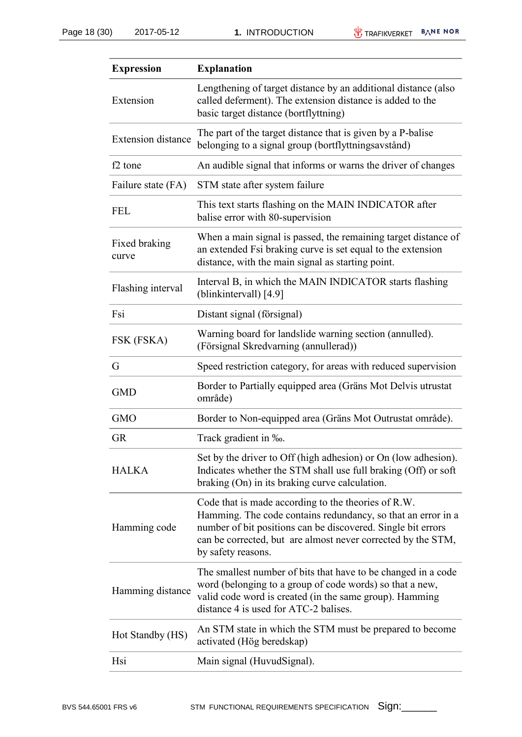| <b>Expression</b>         | <b>Explanation</b>                                                                                                                                                                                                                                                        |
|---------------------------|---------------------------------------------------------------------------------------------------------------------------------------------------------------------------------------------------------------------------------------------------------------------------|
| Extension                 | Lengthening of target distance by an additional distance (also<br>called deferment). The extension distance is added to the<br>basic target distance (bortflyttning)                                                                                                      |
| <b>Extension distance</b> | The part of the target distance that is given by a P-balise<br>belonging to a signal group (bortflyttningsavstånd)                                                                                                                                                        |
| f <sub>2</sub> tone       | An audible signal that informs or warns the driver of changes                                                                                                                                                                                                             |
| Failure state (FA)        | STM state after system failure                                                                                                                                                                                                                                            |
| <b>FEL</b>                | This text starts flashing on the MAIN INDICATOR after<br>balise error with 80-supervision                                                                                                                                                                                 |
| Fixed braking<br>curve    | When a main signal is passed, the remaining target distance of<br>an extended Fsi braking curve is set equal to the extension<br>distance, with the main signal as starting point.                                                                                        |
| Flashing interval         | Interval B, in which the MAIN INDICATOR starts flashing<br>(blinkintervall) [4.9]                                                                                                                                                                                         |
| Fsi                       | Distant signal (försignal)                                                                                                                                                                                                                                                |
| FSK (FSKA)                | Warning board for landslide warning section (annulled).<br>(Försignal Skredvarning (annullerad))                                                                                                                                                                          |
| G                         | Speed restriction category, for areas with reduced supervision                                                                                                                                                                                                            |
| <b>GMD</b>                | Border to Partially equipped area (Gräns Mot Delvis utrustat<br>område)                                                                                                                                                                                                   |
| <b>GMO</b>                | Border to Non-equipped area (Gräns Mot Outrustat område).                                                                                                                                                                                                                 |
| <b>GR</b>                 | Track gradient in ‰.                                                                                                                                                                                                                                                      |
| <b>HALKA</b>              | Set by the driver to Off (high adhesion) or On (low adhesion).<br>Indicates whether the STM shall use full braking (Off) or soft<br>braking (On) in its braking curve calculation.                                                                                        |
| Hamming code              | Code that is made according to the theories of R.W.<br>Hamming. The code contains redundancy, so that an error in a<br>number of bit positions can be discovered. Single bit errors<br>can be corrected, but are almost never corrected by the STM,<br>by safety reasons. |
| Hamming distance          | The smallest number of bits that have to be changed in a code<br>word (belonging to a group of code words) so that a new,<br>valid code word is created (in the same group). Hamming<br>distance 4 is used for ATC-2 balises.                                             |
| Hot Standby (HS)          | An STM state in which the STM must be prepared to become<br>activated (Hög beredskap)                                                                                                                                                                                     |
| Hsi                       | Main signal (HuvudSignal).                                                                                                                                                                                                                                                |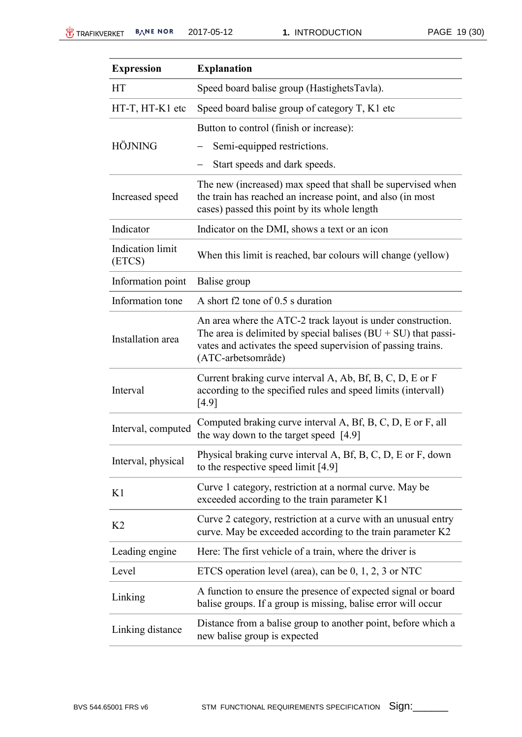| <b>Expression</b>                 | <b>Explanation</b>                                                                                                                                                                                                    |
|-----------------------------------|-----------------------------------------------------------------------------------------------------------------------------------------------------------------------------------------------------------------------|
| <b>HT</b>                         | Speed board balise group (HastighetsTavla).                                                                                                                                                                           |
| HT-T, HT-K1 etc                   | Speed board balise group of category $T$ , K1 etc                                                                                                                                                                     |
|                                   | Button to control (finish or increase):                                                                                                                                                                               |
| <b>HÖJNING</b>                    | Semi-equipped restrictions.                                                                                                                                                                                           |
|                                   | Start speeds and dark speeds.                                                                                                                                                                                         |
| Increased speed                   | The new (increased) max speed that shall be supervised when<br>the train has reached an increase point, and also (in most<br>cases) passed this point by its whole length                                             |
| Indicator                         | Indicator on the DMI, shows a text or an icon                                                                                                                                                                         |
| <b>Indication</b> limit<br>(ETCS) | When this limit is reached, bar colours will change (yellow)                                                                                                                                                          |
| Information point                 | Balise group                                                                                                                                                                                                          |
| Information tone                  | A short f2 tone of 0.5 s duration                                                                                                                                                                                     |
| Installation area                 | An area where the ATC-2 track layout is under construction.<br>The area is delimited by special balises $(BU + SU)$ that passi-<br>vates and activates the speed supervision of passing trains.<br>(ATC-arbetsområde) |
| Interval                          | Current braking curve interval A, Ab, Bf, B, C, D, E or F<br>according to the specified rules and speed limits (intervall)<br>[4.9]                                                                                   |
| Interval, computed                | Computed braking curve interval A, Bf, B, C, D, E or F, all<br>the way down to the target speed [4.9]                                                                                                                 |
| Interval, physical                | Physical braking curve interval A, Bf, B, C, D, E or F, down<br>to the respective speed limit [4.9]                                                                                                                   |
| K1                                | Curve 1 category, restriction at a normal curve. May be<br>exceeded according to the train parameter K1                                                                                                               |
| K <sub>2</sub>                    | Curve 2 category, restriction at a curve with an unusual entry<br>curve. May be exceeded according to the train parameter K2                                                                                          |
| Leading engine                    | Here: The first vehicle of a train, where the driver is                                                                                                                                                               |
| Level                             | ETCS operation level (area), can be $0, 1, 2, 3$ or NTC                                                                                                                                                               |
| Linking                           | A function to ensure the presence of expected signal or board<br>balise groups. If a group is missing, balise error will occur                                                                                        |
| Linking distance                  | Distance from a balise group to another point, before which a<br>new balise group is expected                                                                                                                         |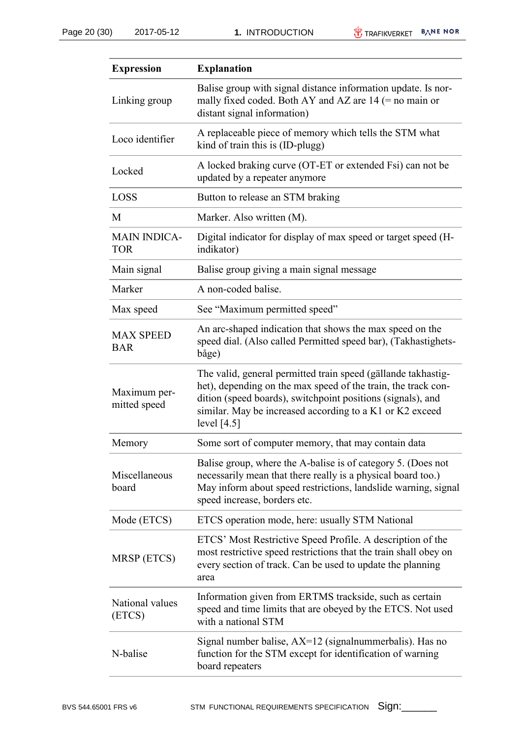| <b>Expression</b>                 | <b>Explanation</b>                                                                                                                                                                                                                                                         |
|-----------------------------------|----------------------------------------------------------------------------------------------------------------------------------------------------------------------------------------------------------------------------------------------------------------------------|
| Linking group                     | Balise group with signal distance information update. Is nor-<br>mally fixed coded. Both AY and AZ are $14$ (= no main or<br>distant signal information)                                                                                                                   |
| Loco identifier                   | A replaceable piece of memory which tells the STM what<br>kind of train this is (ID-plugg)                                                                                                                                                                                 |
| Locked                            | A locked braking curve (OT-ET or extended Fsi) can not be<br>updated by a repeater anymore                                                                                                                                                                                 |
| <b>LOSS</b>                       | Button to release an STM braking                                                                                                                                                                                                                                           |
| M                                 | Marker. Also written (M).                                                                                                                                                                                                                                                  |
| <b>MAIN INDICA-</b><br><b>TOR</b> | Digital indicator for display of max speed or target speed (H-<br>indikator)                                                                                                                                                                                               |
| Main signal                       | Balise group giving a main signal message                                                                                                                                                                                                                                  |
| Marker                            | A non-coded balise.                                                                                                                                                                                                                                                        |
| Max speed                         | See "Maximum permitted speed"                                                                                                                                                                                                                                              |
| <b>MAX SPEED</b><br><b>BAR</b>    | An arc-shaped indication that shows the max speed on the<br>speed dial. (Also called Permitted speed bar), (Takhastighets-<br>båge)                                                                                                                                        |
| Maximum per-<br>mitted speed      | The valid, general permitted train speed (gällande takhastig-<br>het), depending on the max speed of the train, the track con-<br>dition (speed boards), switchpoint positions (signals), and<br>similar. May be increased according to a K1 or K2 exceed<br>level $[4.5]$ |
| Memory                            | Some sort of computer memory, that may contain data                                                                                                                                                                                                                        |
| Miscellaneous<br>board            | Balise group, where the A-balise is of category 5. (Does not<br>necessarily mean that there really is a physical board too.)<br>May inform about speed restrictions, landslide warning, signal<br>speed increase, borders etc.                                             |
| Mode (ETCS)                       | ETCS operation mode, here: usually STM National                                                                                                                                                                                                                            |
| MRSP (ETCS)                       | ETCS' Most Restrictive Speed Profile. A description of the<br>most restrictive speed restrictions that the train shall obey on<br>every section of track. Can be used to update the planning<br>area                                                                       |
| National values<br>(ETCS)         | Information given from ERTMS trackside, such as certain<br>speed and time limits that are obeyed by the ETCS. Not used<br>with a national STM                                                                                                                              |
| N-balise                          | Signal number balise, AX=12 (signalnummerbalis). Has no<br>function for the STM except for identification of warning<br>board repeaters                                                                                                                                    |
|                                   |                                                                                                                                                                                                                                                                            |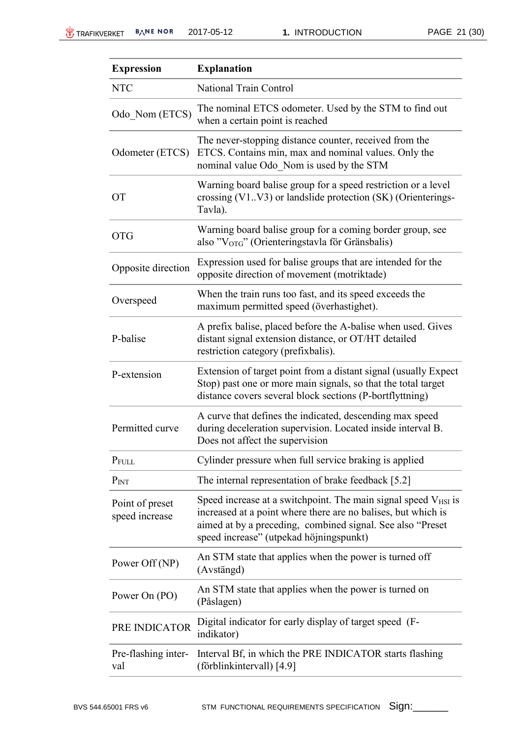| <b>Expression</b>                 | <b>Explanation</b>                                                                                                                                                                                                                             |
|-----------------------------------|------------------------------------------------------------------------------------------------------------------------------------------------------------------------------------------------------------------------------------------------|
| <b>NTC</b>                        | <b>National Train Control</b>                                                                                                                                                                                                                  |
| Odo Nom (ETCS)                    | The nominal ETCS odometer. Used by the STM to find out<br>when a certain point is reached                                                                                                                                                      |
| Odometer (ETCS)                   | The never-stopping distance counter, received from the<br>ETCS. Contains min, max and nominal values. Only the<br>nominal value Odo Nom is used by the STM                                                                                     |
| <b>OT</b>                         | Warning board balise group for a speed restriction or a level<br>crossing (V1V3) or landslide protection (SK) (Orienterings-<br>Tavla).                                                                                                        |
| <b>OTG</b>                        | Warning board balise group for a coming border group, see<br>also "V <sub>OTG</sub> " (Orienteringstavla för Gränsbalis)                                                                                                                       |
| Opposite direction                | Expression used for balise groups that are intended for the<br>opposite direction of movement (motriktade)                                                                                                                                     |
| Overspeed                         | When the train runs too fast, and its speed exceeds the<br>maximum permitted speed (överhastighet).                                                                                                                                            |
| P-balise                          | A prefix balise, placed before the A-balise when used. Gives<br>distant signal extension distance, or OT/HT detailed<br>restriction category (prefixbalis).                                                                                    |
| P-extension                       | Extension of target point from a distant signal (usually Expect<br>Stop) past one or more main signals, so that the total target<br>distance covers several block sections (P-bortflyttning)                                                   |
| Permitted curve                   | A curve that defines the indicated, descending max speed<br>during deceleration supervision. Located inside interval B.<br>Does not affect the supervision                                                                                     |
| PFULL                             | Cylinder pressure when full service braking is applied                                                                                                                                                                                         |
| P <sub>INT</sub>                  | The internal representation of brake feedback [5.2]                                                                                                                                                                                            |
| Point of preset<br>speed increase | Speed increase at a switchpoint. The main signal speed $V_{HSI}$ is<br>increased at a point where there are no balises, but which is<br>aimed at by a preceding, combined signal. See also "Preset"<br>speed increase" (utpekad höjningspunkt) |
| Power Off (NP)                    | An STM state that applies when the power is turned off<br>(Avstängd)                                                                                                                                                                           |
| Power On (PO)                     | An STM state that applies when the power is turned on<br>(Påslagen)                                                                                                                                                                            |
| PRE INDICATOR                     | Digital indicator for early display of target speed (F-<br>indikator)                                                                                                                                                                          |
| Pre-flashing inter-<br>val        | Interval Bf, in which the PRE INDICATOR starts flashing<br>(förblinkintervall) [4.9]                                                                                                                                                           |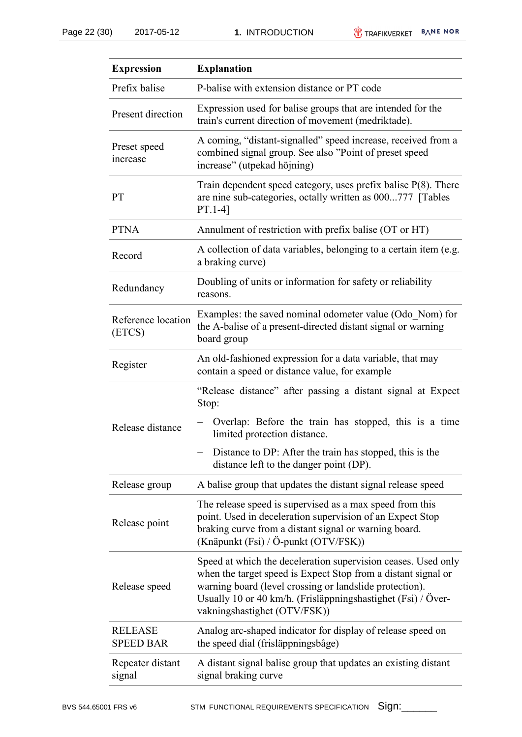| <b>Expression</b>                  | <b>Explanation</b>                                                                                                                                                                                                                                                                        |
|------------------------------------|-------------------------------------------------------------------------------------------------------------------------------------------------------------------------------------------------------------------------------------------------------------------------------------------|
| Prefix balise                      | P-balise with extension distance or PT code                                                                                                                                                                                                                                               |
| Present direction                  | Expression used for balise groups that are intended for the<br>train's current direction of movement (medriktade).                                                                                                                                                                        |
| Preset speed<br>increase           | A coming, "distant-signalled" speed increase, received from a<br>combined signal group. See also "Point of preset speed<br>increase" (utpekad höjning)                                                                                                                                    |
| <b>PT</b>                          | Train dependent speed category, uses prefix balise $P(8)$ . There<br>are nine sub-categories, octally written as 000777 [Tables]<br>$PT.1-4]$                                                                                                                                             |
| <b>PTNA</b>                        | Annulment of restriction with prefix balise (OT or HT)                                                                                                                                                                                                                                    |
| Record                             | A collection of data variables, belonging to a certain item (e.g.<br>a braking curve)                                                                                                                                                                                                     |
| Redundancy                         | Doubling of units or information for safety or reliability<br>reasons.                                                                                                                                                                                                                    |
| Reference location<br>(ETCS)       | Examples: the saved nominal odometer value (Odo_Nom) for<br>the A-balise of a present-directed distant signal or warning<br>board group                                                                                                                                                   |
| Register                           | An old-fashioned expression for a data variable, that may<br>contain a speed or distance value, for example                                                                                                                                                                               |
|                                    | "Release distance" after passing a distant signal at Expect<br>Stop:                                                                                                                                                                                                                      |
| Release distance                   | Overlap: Before the train has stopped, this is a time<br>limited protection distance.                                                                                                                                                                                                     |
|                                    | Distance to DP: After the train has stopped, this is the<br>distance left to the danger point (DP).                                                                                                                                                                                       |
| Release group                      | A balise group that updates the distant signal release speed                                                                                                                                                                                                                              |
| Release point                      | The release speed is supervised as a max speed from this<br>point. Used in deceleration supervision of an Expect Stop<br>braking curve from a distant signal or warning board.<br>(Knäpunkt (Fsi) / Ö-punkt (OTV/FSK))                                                                    |
| Release speed                      | Speed at which the deceleration supervision ceases. Used only<br>when the target speed is Expect Stop from a distant signal or<br>warning board (level crossing or landslide protection).<br>Usually 10 or 40 km/h. (Frisläppningshastighet (Fsi) / Över-<br>vakningshastighet (OTV/FSK)) |
| <b>RELEASE</b><br><b>SPEED BAR</b> | Analog arc-shaped indicator for display of release speed on<br>the speed dial (frisläppningsbåge)                                                                                                                                                                                         |
| Repeater distant<br>signal         | A distant signal balise group that updates an existing distant<br>signal braking curve                                                                                                                                                                                                    |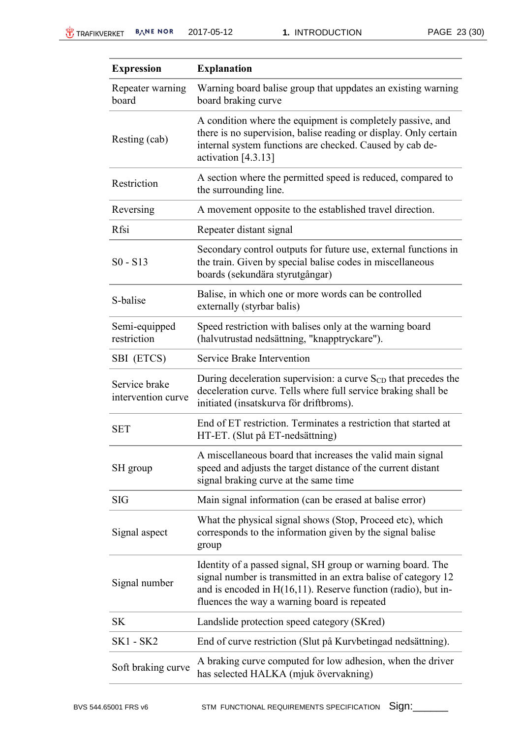| <b>Expression</b>                   | <b>Explanation</b>                                                                                                                                                                                                                                |
|-------------------------------------|---------------------------------------------------------------------------------------------------------------------------------------------------------------------------------------------------------------------------------------------------|
| Repeater warning<br>board           | Warning board balise group that uppdates an existing warning<br>board braking curve                                                                                                                                                               |
| Resting (cab)                       | A condition where the equipment is completely passive, and<br>there is no supervision, balise reading or display. Only certain<br>internal system functions are checked. Caused by cab de-<br>activation $[4.3.13]$                               |
| Restriction                         | A section where the permitted speed is reduced, compared to<br>the surrounding line.                                                                                                                                                              |
| Reversing                           | A movement opposite to the established travel direction.                                                                                                                                                                                          |
| Rfsi                                | Repeater distant signal                                                                                                                                                                                                                           |
| $S_0 - S_1$                         | Secondary control outputs for future use, external functions in<br>the train. Given by special balise codes in miscellaneous<br>boards (sekundära styrutgångar)                                                                                   |
| S-balise                            | Balise, in which one or more words can be controlled<br>externally (styrbar balis)                                                                                                                                                                |
| Semi-equipped<br>restriction        | Speed restriction with balises only at the warning board<br>(halvutrustad nedsättning, "knapptryckare").                                                                                                                                          |
| SBI (ETCS)                          | Service Brake Intervention                                                                                                                                                                                                                        |
| Service brake<br>intervention curve | During deceleration supervision: a curve $SCD$ that precedes the<br>deceleration curve. Tells where full service braking shall be<br>initiated (insatskurva för driftbroms).                                                                      |
| <b>SET</b>                          | End of ET restriction. Terminates a restriction that started at<br>HT-ET. (Slut på ET-nedsättning)                                                                                                                                                |
| SH group                            | A miscellaneous board that increases the valid main signal<br>speed and adjusts the target distance of the current distant<br>signal braking curve at the same time                                                                               |
| <b>SIG</b>                          | Main signal information (can be erased at balise error)                                                                                                                                                                                           |
| Signal aspect                       | What the physical signal shows (Stop, Proceed etc), which<br>corresponds to the information given by the signal balise<br>group                                                                                                                   |
| Signal number                       | Identity of a passed signal, SH group or warning board. The<br>signal number is transmitted in an extra balise of category 12<br>and is encoded in $H(16,11)$ . Reserve function (radio), but in-<br>fluences the way a warning board is repeated |
| <b>SK</b>                           | Landslide protection speed category (SKred)                                                                                                                                                                                                       |
| <b>SK1 - SK2</b>                    | End of curve restriction (Slut på Kurvbetingad nedsättning).                                                                                                                                                                                      |
| Soft braking curve                  | A braking curve computed for low adhesion, when the driver<br>has selected HALKA (mjuk övervakning)                                                                                                                                               |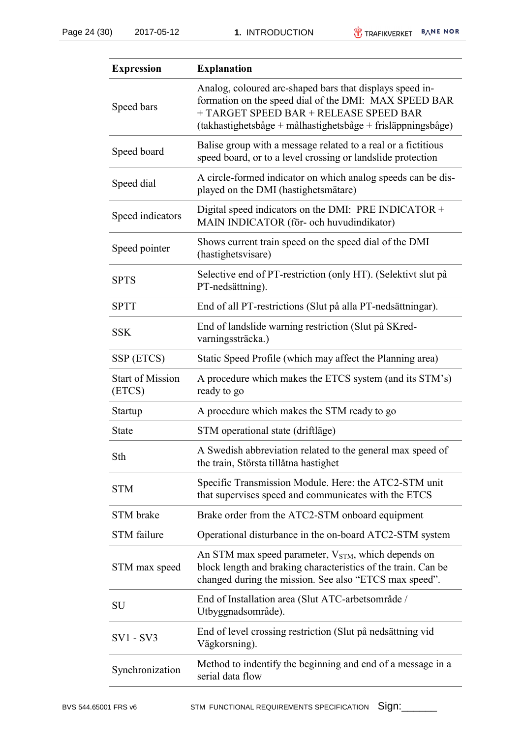| <b>Expression</b>                 | <b>Explanation</b>                                                                                                                                                                                                         |
|-----------------------------------|----------------------------------------------------------------------------------------------------------------------------------------------------------------------------------------------------------------------------|
| Speed bars                        | Analog, coloured arc-shaped bars that displays speed in-<br>formation on the speed dial of the DMI: MAX SPEED BAR<br>+ TARGET SPEED BAR + RELEASE SPEED BAR<br>(takhastighetsbåge + målhastighetsbåge + frisläppningsbåge) |
| Speed board                       | Balise group with a message related to a real or a fictitious<br>speed board, or to a level crossing or landslide protection                                                                                               |
| Speed dial                        | A circle-formed indicator on which analog speeds can be dis-<br>played on the DMI (hastighetsmätare)                                                                                                                       |
| Speed indicators                  | Digital speed indicators on the DMI: PRE INDICATOR $+$<br>MAIN INDICATOR (för- och huvudindikator)                                                                                                                         |
| Speed pointer                     | Shows current train speed on the speed dial of the DMI<br>(hastighetsvisare)                                                                                                                                               |
| <b>SPTS</b>                       | Selective end of PT-restriction (only HT). (Selektivt slut på<br>PT-nedsättning).                                                                                                                                          |
| <b>SPTT</b>                       | End of all PT-restrictions (Slut på alla PT-nedsättningar).                                                                                                                                                                |
| <b>SSK</b>                        | End of landslide warning restriction (Slut på SKred-<br>varningssträcka.)                                                                                                                                                  |
| SSP (ETCS)                        | Static Speed Profile (which may affect the Planning area)                                                                                                                                                                  |
| <b>Start of Mission</b><br>(ETCS) | A procedure which makes the ETCS system (and its STM's)<br>ready to go                                                                                                                                                     |
| Startup                           | A procedure which makes the STM ready to go                                                                                                                                                                                |
| <b>State</b>                      | STM operational state (driftläge)                                                                                                                                                                                          |
| Sth                               | A Swedish abbreviation related to the general max speed of<br>the train, Största tillåtna hastighet                                                                                                                        |
| <b>STM</b>                        | Specific Transmission Module. Here: the ATC2-STM unit<br>that supervises speed and communicates with the ETCS                                                                                                              |
| STM brake                         | Brake order from the ATC2-STM onboard equipment                                                                                                                                                                            |
| <b>STM</b> failure                | Operational disturbance in the on-board ATC2-STM system                                                                                                                                                                    |
| STM max speed                     | An STM max speed parameter, V <sub>STM</sub> , which depends on<br>block length and braking characteristics of the train. Can be<br>changed during the mission. See also "ETCS max speed".                                 |
| <b>SU</b>                         | End of Installation area (Slut ATC-arbetsområde /<br>Utbyggnadsområde).                                                                                                                                                    |
| SV1 - SV3                         | End of level crossing restriction (Slut på nedsättning vid<br>Vägkorsning).                                                                                                                                                |
| Synchronization                   | Method to indentify the beginning and end of a message in a<br>serial data flow                                                                                                                                            |
|                                   |                                                                                                                                                                                                                            |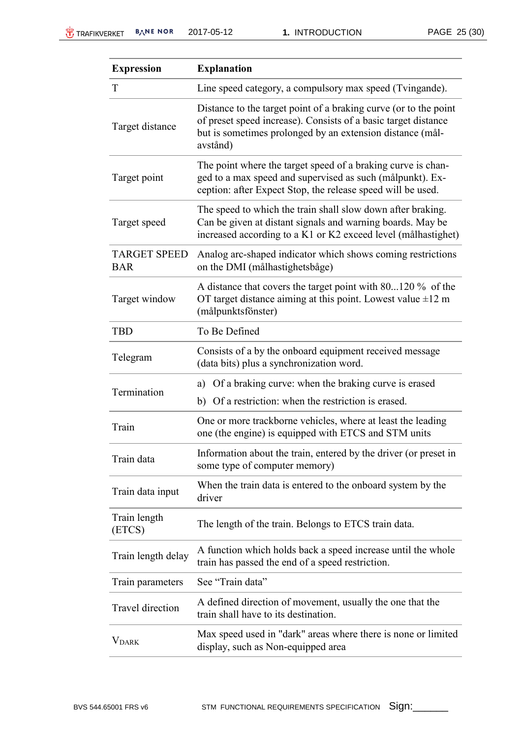| <b>Expression</b>                 | <b>Explanation</b>                                                                                                                                                                                          |
|-----------------------------------|-------------------------------------------------------------------------------------------------------------------------------------------------------------------------------------------------------------|
| T                                 | Line speed category, a compulsory max speed (Tvingande).                                                                                                                                                    |
| Target distance                   | Distance to the target point of a braking curve (or to the point<br>of preset speed increase). Consists of a basic target distance<br>but is sometimes prolonged by an extension distance (mål-<br>avstånd) |
| Target point                      | The point where the target speed of a braking curve is chan-<br>ged to a max speed and supervised as such (målpunkt). Ex-<br>ception: after Expect Stop, the release speed will be used.                    |
| Target speed                      | The speed to which the train shall slow down after braking.<br>Can be given at distant signals and warning boards. May be<br>increased according to a K1 or K2 exceed level (målhastighet)                  |
| <b>TARGET SPEED</b><br><b>BAR</b> | Analog arc-shaped indicator which shows coming restrictions<br>on the DMI (målhastighetsbåge)                                                                                                               |
| Target window                     | A distance that covers the target point with 80120 % of the<br>OT target distance aiming at this point. Lowest value $\pm 12$ m<br>(målpunktsfönster)                                                       |
| <b>TBD</b>                        | To Be Defined                                                                                                                                                                                               |
| Telegram                          | Consists of a by the onboard equipment received message<br>(data bits) plus a synchronization word.                                                                                                         |
| Termination                       | a) Of a braking curve: when the braking curve is erased                                                                                                                                                     |
|                                   | Of a restriction: when the restriction is erased.<br>b)                                                                                                                                                     |
| Train                             | One or more trackborne vehicles, where at least the leading<br>one (the engine) is equipped with ETCS and STM units                                                                                         |
| Train data                        | Information about the train, entered by the driver (or preset in<br>some type of computer memory)                                                                                                           |
| Train data input                  | When the train data is entered to the onboard system by the<br>driver                                                                                                                                       |
| Train length<br>(ETCS)            | The length of the train. Belongs to ETCS train data.                                                                                                                                                        |
| Train length delay                | A function which holds back a speed increase until the whole<br>train has passed the end of a speed restriction.                                                                                            |
| Train parameters                  | See "Train data"                                                                                                                                                                                            |
| Travel direction                  | A defined direction of movement, usually the one that the<br>train shall have to its destination.                                                                                                           |
| <b>V</b> DARK                     | Max speed used in "dark" areas where there is none or limited<br>display, such as Non-equipped area                                                                                                         |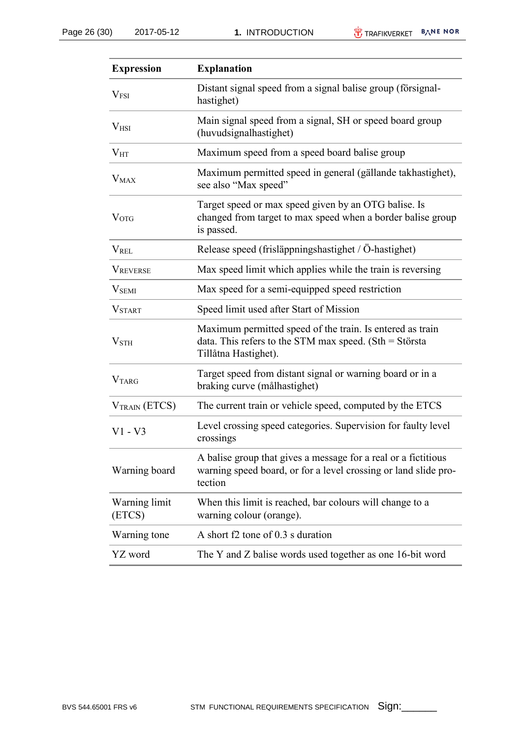| <b>Expression</b>        | <b>Explanation</b>                                                                                                                           |
|--------------------------|----------------------------------------------------------------------------------------------------------------------------------------------|
| V <sub>FSI</sub>         | Distant signal speed from a signal balise group (for signal-<br>hastighet)                                                                   |
| V <sub>HSI</sub>         | Main signal speed from a signal, SH or speed board group<br>(huvudsignalhastighet)                                                           |
| $V_{\rm HT}$             | Maximum speed from a speed board balise group                                                                                                |
| $V_{MAX}$                | Maximum permitted speed in general (gällande takhastighet),<br>see also "Max speed"                                                          |
| $\rm V_{OTG}$            | Target speed or max speed given by an OTG balise. Is<br>changed from target to max speed when a border balise group<br>is passed.            |
| <b>VREL</b>              | Release speed (frisläppningshastighet / Ö-hastighet)                                                                                         |
| <b>VREVERSE</b>          | Max speed limit which applies while the train is reversing                                                                                   |
| V <sub>SEM</sub>         | Max speed for a semi-equipped speed restriction                                                                                              |
| $\rm{V}_{\rm{STAT}}$     | Speed limit used after Start of Mission                                                                                                      |
| $\rm{V_{STH}}$           | Maximum permitted speed of the train. Is entered as train<br>data. This refers to the STM max speed. (Sth = Största<br>Tillåtna Hastighet).  |
| <b>VTARG</b>             | Target speed from distant signal or warning board or in a<br>braking curve (målhastighet)                                                    |
| V <sub>TRAN</sub> (ETCS) | The current train or vehicle speed, computed by the ETCS                                                                                     |
| $V1 - V3$                | Level crossing speed categories. Supervision for faulty level<br>crossings                                                                   |
| Warning board            | A balise group that gives a message for a real or a fictitious<br>warning speed board, or for a level crossing or land slide pro-<br>tection |
| Warning limit<br>(ETCS)  | When this limit is reached, bar colours will change to a<br>warning colour (orange).                                                         |
| Warning tone             | A short f2 tone of 0.3 s duration                                                                                                            |
| YZ word                  | The Y and Z balise words used together as one 16-bit word                                                                                    |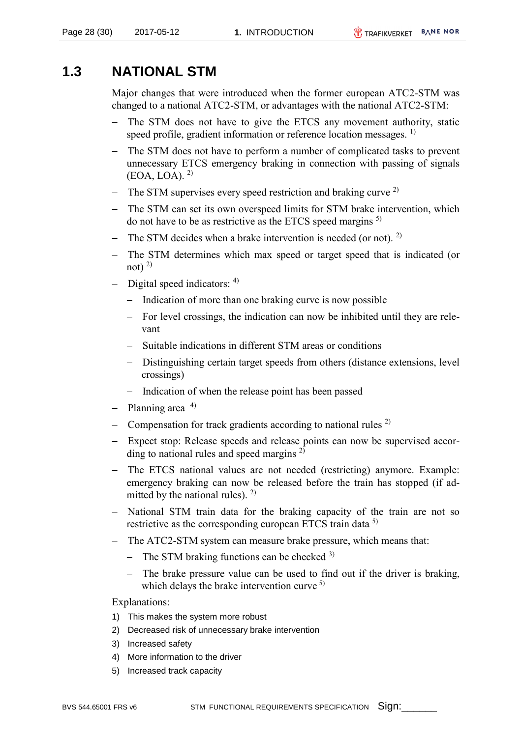### <span id="page-27-0"></span>**1.3 NATIONAL STM**

Major changes that were introduced when the former european ATC2-STM was changed to a national ATC2-STM, or advantages with the national ATC2-STM:

- The STM does not have to give the ETCS any movement authority, static speed profile, gradient information or reference location messages. <sup>1)</sup>
- The STM does not have to perform a number of complicated tasks to prevent unnecessary ETCS emergency braking in connection with passing of signals  $(EOA, LOA)$ . <sup>2)</sup>
- The STM supervises every speed restriction and braking curve  $^{2)}$
- The STM can set its own overspeed limits for STM brake intervention, which do not have to be as restrictive as the ETCS speed margins  $5$ )
- The STM decides when a brake intervention is needed (or not). <sup>2)</sup>
- The STM determines which max speed or target speed that is indicated (or not)  $^{2)}$
- $-$  Digital speed indicators:  $4$ )
	- Indication of more than one braking curve is now possible
	- For level crossings, the indication can now be inhibited until they are relevant
	- Suitable indications in different STM areas or conditions
	- Distinguishing certain target speeds from others (distance extensions, level crossings)
	- Indication of when the release point has been passed
- Planning area  $4$ )
- Compensation for track gradients according to national rules  $^{2)}$
- Expect stop: Release speeds and release points can now be supervised according to national rules and speed margins  $^{2)}$
- The ETCS national values are not needed (restricting) anymore. Example: emergency braking can now be released before the train has stopped (if admitted by the national rules).  $^{2)}$
- National STM train data for the braking capacity of the train are not so restrictive as the corresponding european ETCS train data <sup>5)</sup>
- The ATC2-STM system can measure brake pressure, which means that:
	- The STM braking functions can be checked  $3$ )
	- The brake pressure value can be used to find out if the driver is braking, which delays the brake intervention curve  $5$ )

#### Explanations:

- 1) This makes the system more robust
- 2) Decreased risk of unnecessary brake intervention
- 3) Increased safety
- 4) More information to the driver
- 5) Increased track capacity